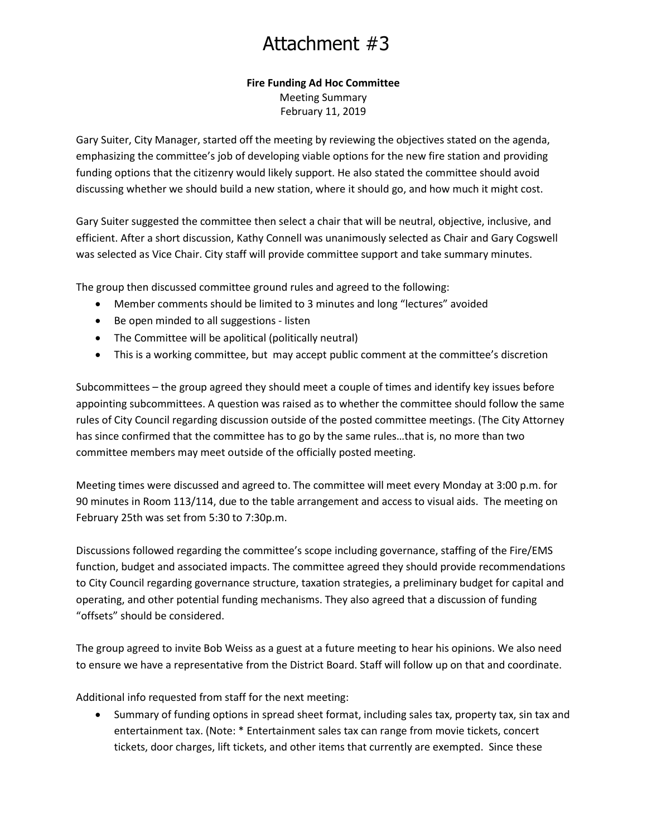# Attachment #3

#### **Fire Funding Ad Hoc Committee**

Meeting Summary February 11, 2019

Gary Suiter, City Manager, started off the meeting by reviewing the objectives stated on the agenda, emphasizing the committee's job of developing viable options for the new fire station and providing funding options that the citizenry would likely support. He also stated the committee should avoid discussing whether we should build a new station, where it should go, and how much it might cost.

Gary Suiter suggested the committee then select a chair that will be neutral, objective, inclusive, and efficient. After a short discussion, Kathy Connell was unanimously selected as Chair and Gary Cogswell was selected as Vice Chair. City staff will provide committee support and take summary minutes.

The group then discussed committee ground rules and agreed to the following:

- Member comments should be limited to 3 minutes and long "lectures" avoided
- Be open minded to all suggestions listen
- The Committee will be apolitical (politically neutral)
- This is a working committee, but may accept public comment at the committee's discretion

Subcommittees – the group agreed they should meet a couple of times and identify key issues before appointing subcommittees. A question was raised as to whether the committee should follow the same rules of City Council regarding discussion outside of the posted committee meetings. (The City Attorney has since confirmed that the committee has to go by the same rules…that is, no more than two committee members may meet outside of the officially posted meeting.

Meeting times were discussed and agreed to. The committee will meet every Monday at 3:00 p.m. for 90 minutes in Room 113/114, due to the table arrangement and access to visual aids. The meeting on February 25th was set from 5:30 to 7:30p.m.

Discussions followed regarding the committee's scope including governance, staffing of the Fire/EMS function, budget and associated impacts. The committee agreed they should provide recommendations to City Council regarding governance structure, taxation strategies, a preliminary budget for capital and operating, and other potential funding mechanisms. They also agreed that a discussion of funding "offsets" should be considered.

The group agreed to invite Bob Weiss as a guest at a future meeting to hear his opinions. We also need to ensure we have a representative from the District Board. Staff will follow up on that and coordinate.

Additional info requested from staff for the next meeting:

 Summary of funding options in spread sheet format, including sales tax, property tax, sin tax and entertainment tax. (Note: \* Entertainment sales tax can range from movie tickets, concert tickets, door charges, lift tickets, and other items that currently are exempted. Since these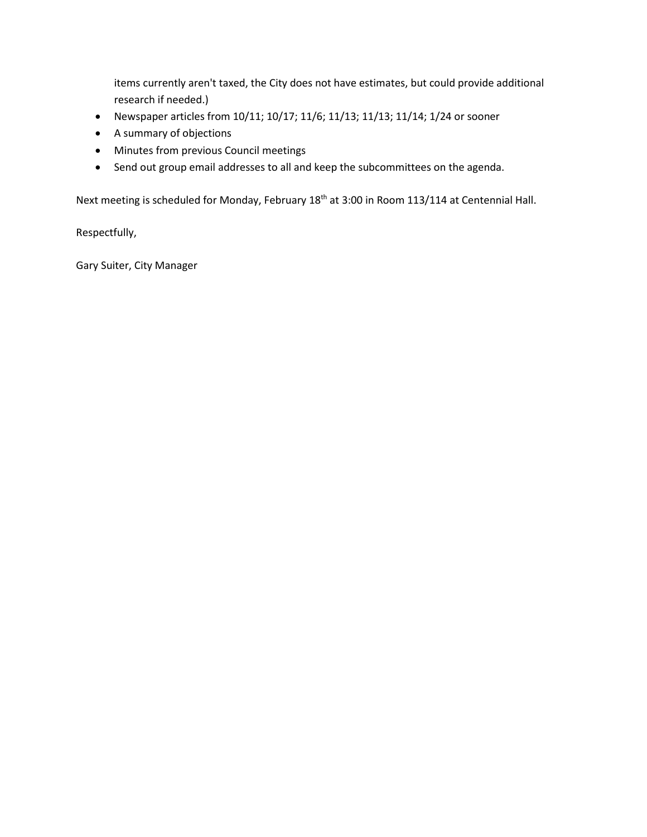items currently aren't taxed, the City does not have estimates, but could provide additional research if needed.)

- Newspaper articles from 10/11; 10/17; 11/6; 11/13; 11/13; 11/14; 1/24 or sooner
- A summary of objections
- Minutes from previous Council meetings
- Send out group email addresses to all and keep the subcommittees on the agenda.

Next meeting is scheduled for Monday, February 18<sup>th</sup> at 3:00 in Room 113/114 at Centennial Hall.

Respectfully,

Gary Suiter, City Manager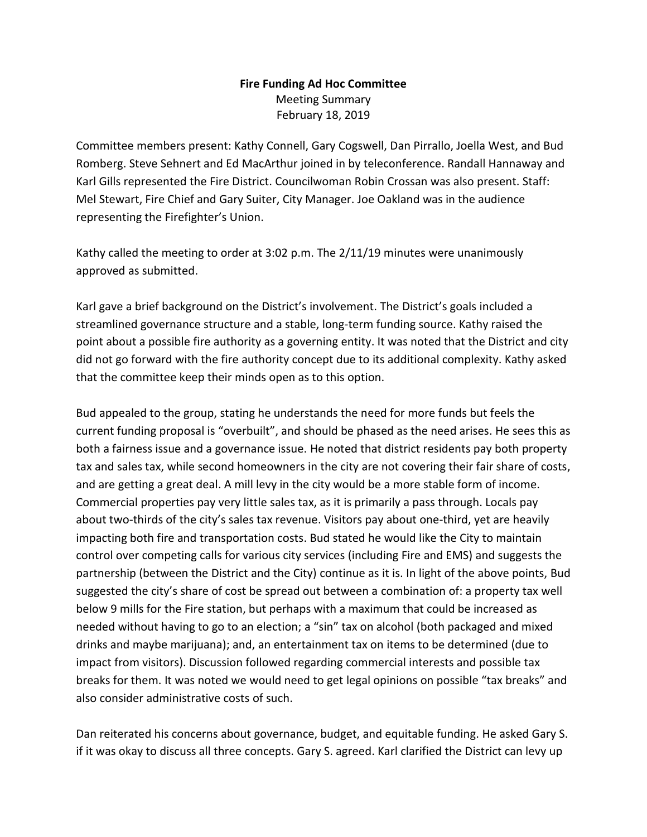#### **Fire Funding Ad Hoc Committee** Meeting Summary February 18, 2019

Committee members present: Kathy Connell, Gary Cogswell, Dan Pirrallo, Joella West, and Bud Romberg. Steve Sehnert and Ed MacArthur joined in by teleconference. Randall Hannaway and Karl Gills represented the Fire District. Councilwoman Robin Crossan was also present. Staff: Mel Stewart, Fire Chief and Gary Suiter, City Manager. Joe Oakland was in the audience representing the Firefighter's Union.

Kathy called the meeting to order at 3:02 p.m. The 2/11/19 minutes were unanimously approved as submitted.

Karl gave a brief background on the District's involvement. The District's goals included a streamlined governance structure and a stable, long-term funding source. Kathy raised the point about a possible fire authority as a governing entity. It was noted that the District and city did not go forward with the fire authority concept due to its additional complexity. Kathy asked that the committee keep their minds open as to this option.

Bud appealed to the group, stating he understands the need for more funds but feels the current funding proposal is "overbuilt", and should be phased as the need arises. He sees this as both a fairness issue and a governance issue. He noted that district residents pay both property tax and sales tax, while second homeowners in the city are not covering their fair share of costs, and are getting a great deal. A mill levy in the city would be a more stable form of income. Commercial properties pay very little sales tax, as it is primarily a pass through. Locals pay about two-thirds of the city's sales tax revenue. Visitors pay about one-third, yet are heavily impacting both fire and transportation costs. Bud stated he would like the City to maintain control over competing calls for various city services (including Fire and EMS) and suggests the partnership (between the District and the City) continue as it is. In light of the above points, Bud suggested the city's share of cost be spread out between a combination of: a property tax well below 9 mills for the Fire station, but perhaps with a maximum that could be increased as needed without having to go to an election; a "sin" tax on alcohol (both packaged and mixed drinks and maybe marijuana); and, an entertainment tax on items to be determined (due to impact from visitors). Discussion followed regarding commercial interests and possible tax breaks for them. It was noted we would need to get legal opinions on possible "tax breaks" and also consider administrative costs of such.

Dan reiterated his concerns about governance, budget, and equitable funding. He asked Gary S. if it was okay to discuss all three concepts. Gary S. agreed. Karl clarified the District can levy up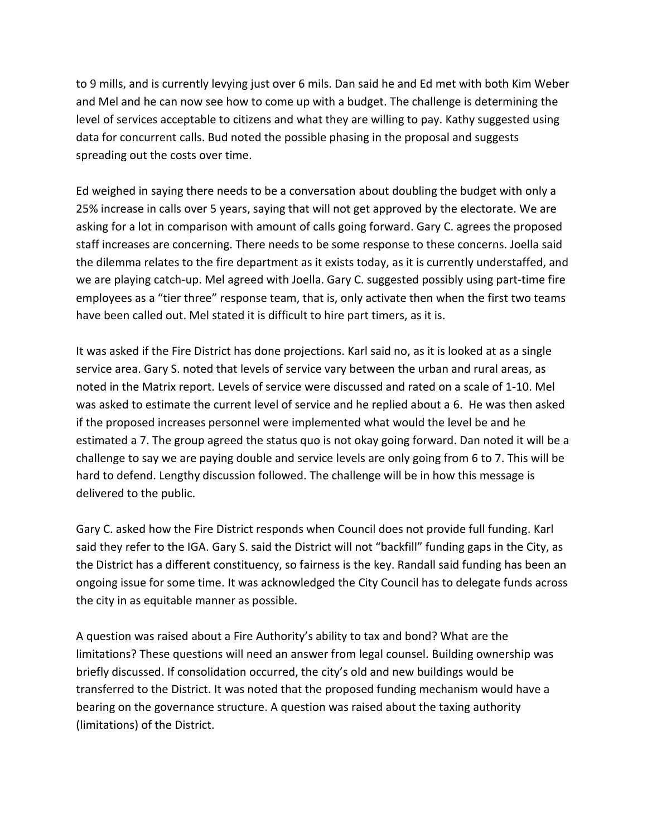to 9 mills, and is currently levying just over 6 mils. Dan said he and Ed met with both Kim Weber and Mel and he can now see how to come up with a budget. The challenge is determining the level of services acceptable to citizens and what they are willing to pay. Kathy suggested using data for concurrent calls. Bud noted the possible phasing in the proposal and suggests spreading out the costs over time.

Ed weighed in saying there needs to be a conversation about doubling the budget with only a 25% increase in calls over 5 years, saying that will not get approved by the electorate. We are asking for a lot in comparison with amount of calls going forward. Gary C. agrees the proposed staff increases are concerning. There needs to be some response to these concerns. Joella said the dilemma relates to the fire department as it exists today, as it is currently understaffed, and we are playing catch-up. Mel agreed with Joella. Gary C. suggested possibly using part-time fire employees as a "tier three" response team, that is, only activate then when the first two teams have been called out. Mel stated it is difficult to hire part timers, as it is.

It was asked if the Fire District has done projections. Karl said no, as it is looked at as a single service area. Gary S. noted that levels of service vary between the urban and rural areas, as noted in the Matrix report. Levels of service were discussed and rated on a scale of 1-10. Mel was asked to estimate the current level of service and he replied about a 6. He was then asked if the proposed increases personnel were implemented what would the level be and he estimated a 7. The group agreed the status quo is not okay going forward. Dan noted it will be a challenge to say we are paying double and service levels are only going from 6 to 7. This will be hard to defend. Lengthy discussion followed. The challenge will be in how this message is delivered to the public.

Gary C. asked how the Fire District responds when Council does not provide full funding. Karl said they refer to the IGA. Gary S. said the District will not "backfill" funding gaps in the City, as the District has a different constituency, so fairness is the key. Randall said funding has been an ongoing issue for some time. It was acknowledged the City Council has to delegate funds across the city in as equitable manner as possible.

A question was raised about a Fire Authority's ability to tax and bond? What are the limitations? These questions will need an answer from legal counsel. Building ownership was briefly discussed. If consolidation occurred, the city's old and new buildings would be transferred to the District. It was noted that the proposed funding mechanism would have a bearing on the governance structure. A question was raised about the taxing authority (limitations) of the District.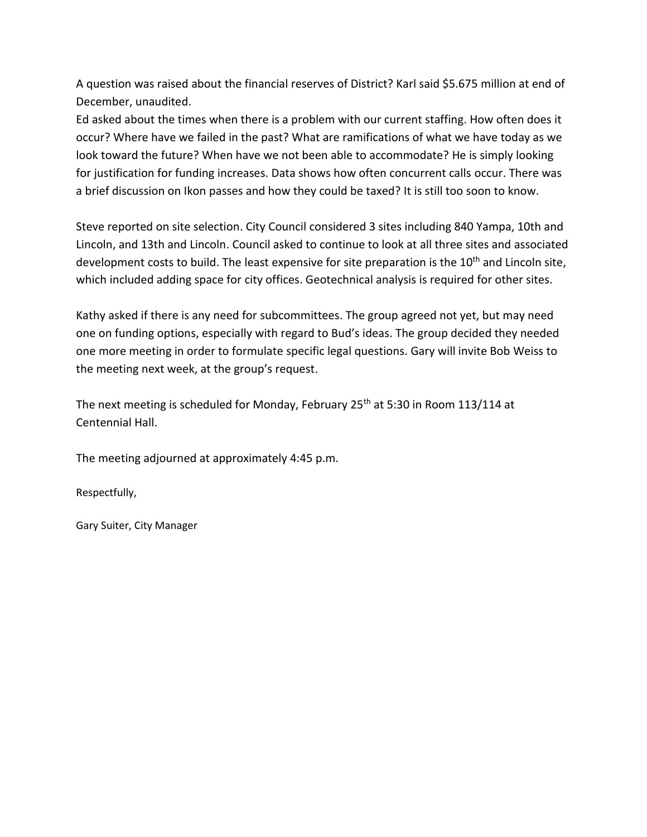A question was raised about the financial reserves of District? Karl said \$5.675 million at end of December, unaudited.

Ed asked about the times when there is a problem with our current staffing. How often does it occur? Where have we failed in the past? What are ramifications of what we have today as we look toward the future? When have we not been able to accommodate? He is simply looking for justification for funding increases. Data shows how often concurrent calls occur. There was a brief discussion on Ikon passes and how they could be taxed? It is still too soon to know.

Steve reported on site selection. City Council considered 3 sites including 840 Yampa, 10th and Lincoln, and 13th and Lincoln. Council asked to continue to look at all three sites and associated development costs to build. The least expensive for site preparation is the  $10<sup>th</sup>$  and Lincoln site, which included adding space for city offices. Geotechnical analysis is required for other sites.

Kathy asked if there is any need for subcommittees. The group agreed not yet, but may need one on funding options, especially with regard to Bud's ideas. The group decided they needed one more meeting in order to formulate specific legal questions. Gary will invite Bob Weiss to the meeting next week, at the group's request.

The next meeting is scheduled for Monday, February 25<sup>th</sup> at 5:30 in Room 113/114 at Centennial Hall.

The meeting adjourned at approximately 4:45 p.m.

Respectfully,

Gary Suiter, City Manager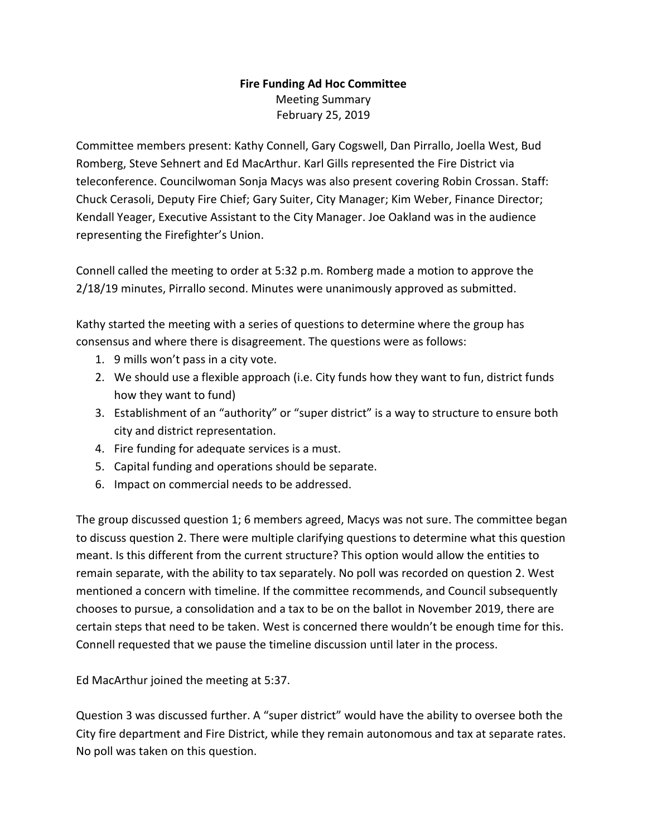### **Fire Funding Ad Hoc Committee** Meeting Summary February 25, 2019

Committee members present: Kathy Connell, Gary Cogswell, Dan Pirrallo, Joella West, Bud Romberg, Steve Sehnert and Ed MacArthur. Karl Gills represented the Fire District via teleconference. Councilwoman Sonja Macys was also present covering Robin Crossan. Staff: Chuck Cerasoli, Deputy Fire Chief; Gary Suiter, City Manager; Kim Weber, Finance Director; Kendall Yeager, Executive Assistant to the City Manager. Joe Oakland was in the audience representing the Firefighter's Union.

Connell called the meeting to order at 5:32 p.m. Romberg made a motion to approve the 2/18/19 minutes, Pirrallo second. Minutes were unanimously approved as submitted.

Kathy started the meeting with a series of questions to determine where the group has consensus and where there is disagreement. The questions were as follows:

- 1. 9 mills won't pass in a city vote.
- 2. We should use a flexible approach (i.e. City funds how they want to fun, district funds how they want to fund)
- 3. Establishment of an "authority" or "super district" is a way to structure to ensure both city and district representation.
- 4. Fire funding for adequate services is a must.
- 5. Capital funding and operations should be separate.
- 6. Impact on commercial needs to be addressed.

The group discussed question 1; 6 members agreed, Macys was not sure. The committee began to discuss question 2. There were multiple clarifying questions to determine what this question meant. Is this different from the current structure? This option would allow the entities to remain separate, with the ability to tax separately. No poll was recorded on question 2. West mentioned a concern with timeline. If the committee recommends, and Council subsequently chooses to pursue, a consolidation and a tax to be on the ballot in November 2019, there are certain steps that need to be taken. West is concerned there wouldn't be enough time for this. Connell requested that we pause the timeline discussion until later in the process.

Ed MacArthur joined the meeting at 5:37.

Question 3 was discussed further. A "super district" would have the ability to oversee both the City fire department and Fire District, while they remain autonomous and tax at separate rates. No poll was taken on this question.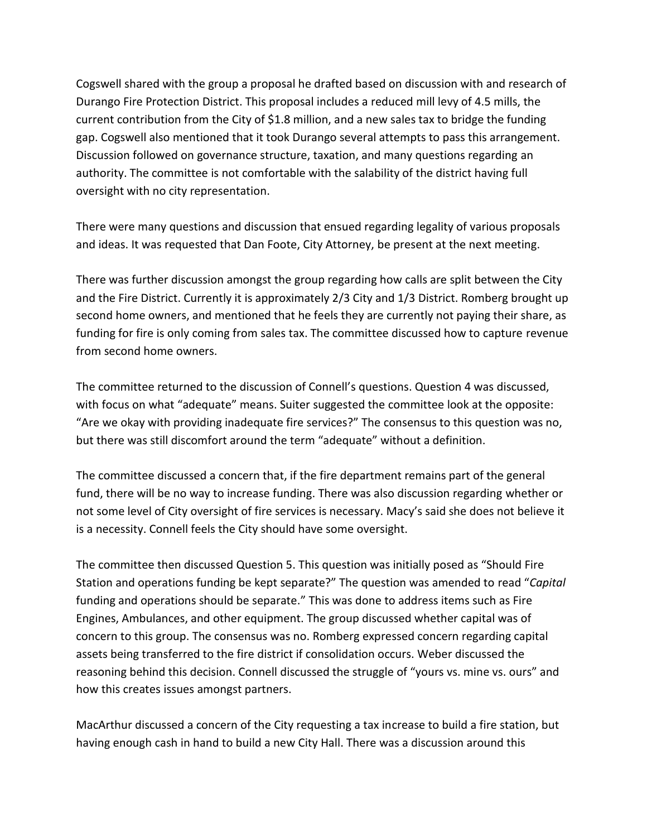Cogswell shared with the group a proposal he drafted based on discussion with and research of Durango Fire Protection District. This proposal includes a reduced mill levy of 4.5 mills, the current contribution from the City of \$1.8 million, and a new sales tax to bridge the funding gap. Cogswell also mentioned that it took Durango several attempts to pass this arrangement. Discussion followed on governance structure, taxation, and many questions regarding an authority. The committee is not comfortable with the salability of the district having full oversight with no city representation.

There were many questions and discussion that ensued regarding legality of various proposals and ideas. It was requested that Dan Foote, City Attorney, be present at the next meeting.

There was further discussion amongst the group regarding how calls are split between the City and the Fire District. Currently it is approximately 2/3 City and 1/3 District. Romberg brought up second home owners, and mentioned that he feels they are currently not paying their share, as funding for fire is only coming from sales tax. The committee discussed how to capture revenue from second home owners.

The committee returned to the discussion of Connell's questions. Question 4 was discussed, with focus on what "adequate" means. Suiter suggested the committee look at the opposite: "Are we okay with providing inadequate fire services?" The consensus to this question was no, but there was still discomfort around the term "adequate" without a definition.

The committee discussed a concern that, if the fire department remains part of the general fund, there will be no way to increase funding. There was also discussion regarding whether or not some level of City oversight of fire services is necessary. Macy's said she does not believe it is a necessity. Connell feels the City should have some oversight.

The committee then discussed Question 5. This question was initially posed as "Should Fire Station and operations funding be kept separate?" The question was amended to read "*Capital* funding and operations should be separate." This was done to address items such as Fire Engines, Ambulances, and other equipment. The group discussed whether capital was of concern to this group. The consensus was no. Romberg expressed concern regarding capital assets being transferred to the fire district if consolidation occurs. Weber discussed the reasoning behind this decision. Connell discussed the struggle of "yours vs. mine vs. ours" and how this creates issues amongst partners.

MacArthur discussed a concern of the City requesting a tax increase to build a fire station, but having enough cash in hand to build a new City Hall. There was a discussion around this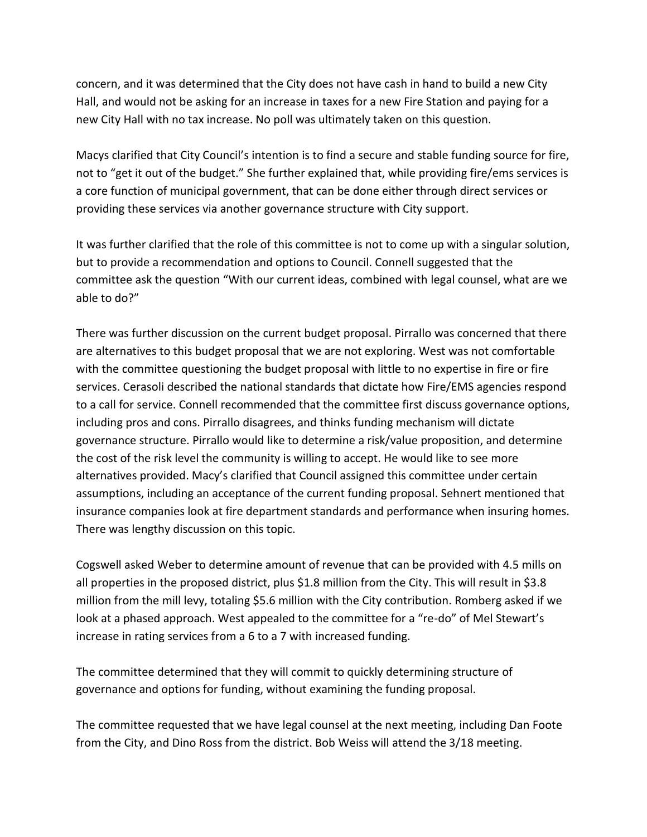concern, and it was determined that the City does not have cash in hand to build a new City Hall, and would not be asking for an increase in taxes for a new Fire Station and paying for a new City Hall with no tax increase. No poll was ultimately taken on this question.

Macys clarified that City Council's intention is to find a secure and stable funding source for fire, not to "get it out of the budget." She further explained that, while providing fire/ems services is a core function of municipal government, that can be done either through direct services or providing these services via another governance structure with City support.

It was further clarified that the role of this committee is not to come up with a singular solution, but to provide a recommendation and options to Council. Connell suggested that the committee ask the question "With our current ideas, combined with legal counsel, what are we able to do?"

There was further discussion on the current budget proposal. Pirrallo was concerned that there are alternatives to this budget proposal that we are not exploring. West was not comfortable with the committee questioning the budget proposal with little to no expertise in fire or fire services. Cerasoli described the national standards that dictate how Fire/EMS agencies respond to a call for service. Connell recommended that the committee first discuss governance options, including pros and cons. Pirrallo disagrees, and thinks funding mechanism will dictate governance structure. Pirrallo would like to determine a risk/value proposition, and determine the cost of the risk level the community is willing to accept. He would like to see more alternatives provided. Macy's clarified that Council assigned this committee under certain assumptions, including an acceptance of the current funding proposal. Sehnert mentioned that insurance companies look at fire department standards and performance when insuring homes. There was lengthy discussion on this topic.

Cogswell asked Weber to determine amount of revenue that can be provided with 4.5 mills on all properties in the proposed district, plus \$1.8 million from the City. This will result in \$3.8 million from the mill levy, totaling \$5.6 million with the City contribution. Romberg asked if we look at a phased approach. West appealed to the committee for a "re-do" of Mel Stewart's increase in rating services from a 6 to a 7 with increased funding.

The committee determined that they will commit to quickly determining structure of governance and options for funding, without examining the funding proposal.

The committee requested that we have legal counsel at the next meeting, including Dan Foote from the City, and Dino Ross from the district. Bob Weiss will attend the 3/18 meeting.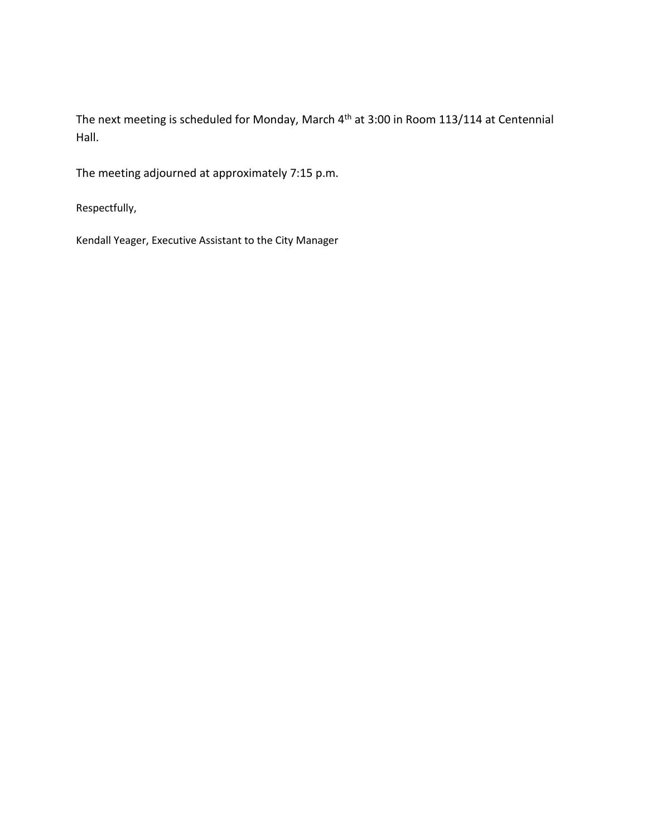The next meeting is scheduled for Monday, March 4th at 3:00 in Room 113/114 at Centennial Hall.

The meeting adjourned at approximately 7:15 p.m.

Respectfully,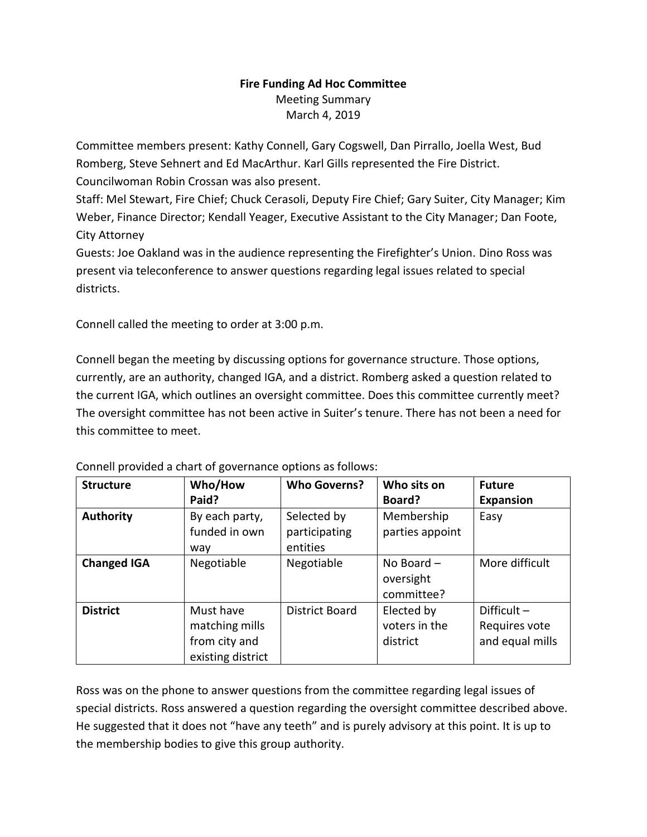### **Fire Funding Ad Hoc Committee** Meeting Summary March 4, 2019

Committee members present: Kathy Connell, Gary Cogswell, Dan Pirrallo, Joella West, Bud Romberg, Steve Sehnert and Ed MacArthur. Karl Gills represented the Fire District. Councilwoman Robin Crossan was also present.

Staff: Mel Stewart, Fire Chief; Chuck Cerasoli, Deputy Fire Chief; Gary Suiter, City Manager; Kim Weber, Finance Director; Kendall Yeager, Executive Assistant to the City Manager; Dan Foote, City Attorney

Guests: Joe Oakland was in the audience representing the Firefighter's Union. Dino Ross was present via teleconference to answer questions regarding legal issues related to special districts.

Connell called the meeting to order at 3:00 p.m.

Connell began the meeting by discussing options for governance structure. Those options, currently, are an authority, changed IGA, and a district. Romberg asked a question related to the current IGA, which outlines an oversight committee. Does this committee currently meet? The oversight committee has not been active in Suiter's tenure. There has not been a need for this committee to meet.

| <b>Structure</b>   | Who/How<br>Paid?                                                  | <b>Who Governs?</b>                      | Who sits on<br>Board?                   | <b>Future</b><br><b>Expansion</b>                 |
|--------------------|-------------------------------------------------------------------|------------------------------------------|-----------------------------------------|---------------------------------------------------|
| <b>Authority</b>   | By each party,<br>funded in own<br>way                            | Selected by<br>participating<br>entities | Membership<br>parties appoint           | Easy                                              |
| <b>Changed IGA</b> | Negotiable                                                        | Negotiable                               | No Board $-$<br>oversight<br>committee? | More difficult                                    |
| <b>District</b>    | Must have<br>matching mills<br>from city and<br>existing district | <b>District Board</b>                    | Elected by<br>voters in the<br>district | Difficult $-$<br>Requires vote<br>and equal mills |

Connell provided a chart of governance options as follows:

Ross was on the phone to answer questions from the committee regarding legal issues of special districts. Ross answered a question regarding the oversight committee described above. He suggested that it does not "have any teeth" and is purely advisory at this point. It is up to the membership bodies to give this group authority.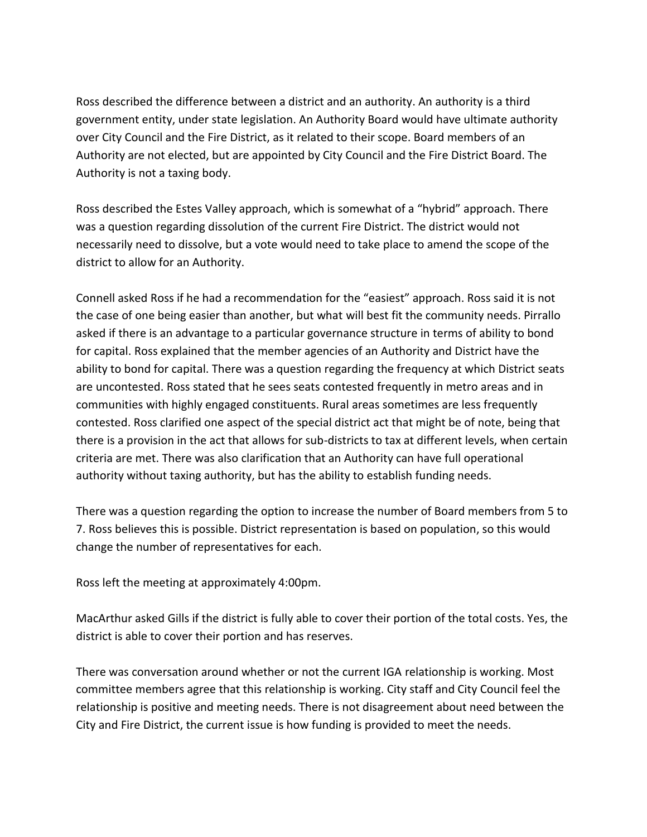Ross described the difference between a district and an authority. An authority is a third government entity, under state legislation. An Authority Board would have ultimate authority over City Council and the Fire District, as it related to their scope. Board members of an Authority are not elected, but are appointed by City Council and the Fire District Board. The Authority is not a taxing body.

Ross described the Estes Valley approach, which is somewhat of a "hybrid" approach. There was a question regarding dissolution of the current Fire District. The district would not necessarily need to dissolve, but a vote would need to take place to amend the scope of the district to allow for an Authority.

Connell asked Ross if he had a recommendation for the "easiest" approach. Ross said it is not the case of one being easier than another, but what will best fit the community needs. Pirrallo asked if there is an advantage to a particular governance structure in terms of ability to bond for capital. Ross explained that the member agencies of an Authority and District have the ability to bond for capital. There was a question regarding the frequency at which District seats are uncontested. Ross stated that he sees seats contested frequently in metro areas and in communities with highly engaged constituents. Rural areas sometimes are less frequently contested. Ross clarified one aspect of the special district act that might be of note, being that there is a provision in the act that allows for sub-districts to tax at different levels, when certain criteria are met. There was also clarification that an Authority can have full operational authority without taxing authority, but has the ability to establish funding needs.

There was a question regarding the option to increase the number of Board members from 5 to 7. Ross believes this is possible. District representation is based on population, so this would change the number of representatives for each.

Ross left the meeting at approximately 4:00pm.

MacArthur asked Gills if the district is fully able to cover their portion of the total costs. Yes, the district is able to cover their portion and has reserves.

There was conversation around whether or not the current IGA relationship is working. Most committee members agree that this relationship is working. City staff and City Council feel the relationship is positive and meeting needs. There is not disagreement about need between the City and Fire District, the current issue is how funding is provided to meet the needs.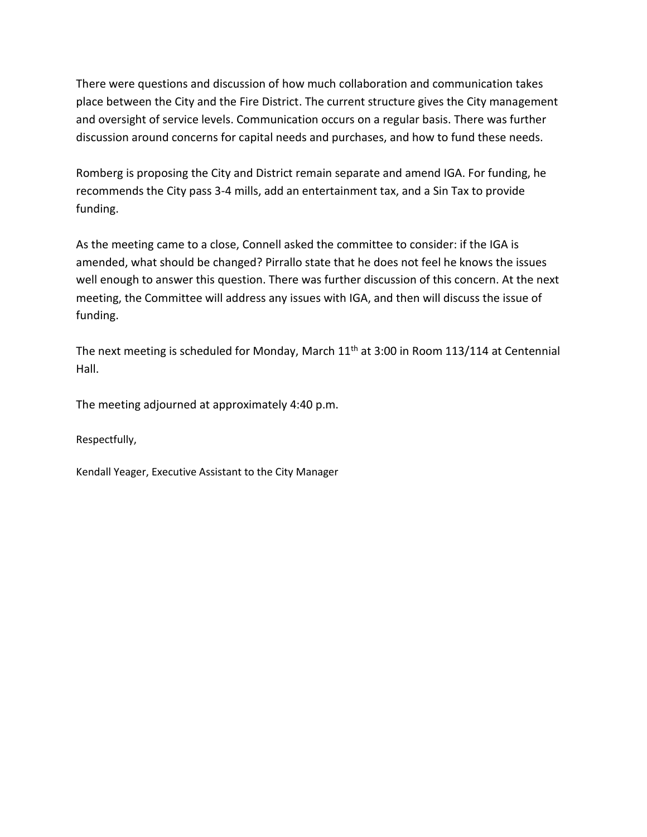There were questions and discussion of how much collaboration and communication takes place between the City and the Fire District. The current structure gives the City management and oversight of service levels. Communication occurs on a regular basis. There was further discussion around concerns for capital needs and purchases, and how to fund these needs.

Romberg is proposing the City and District remain separate and amend IGA. For funding, he recommends the City pass 3-4 mills, add an entertainment tax, and a Sin Tax to provide funding.

As the meeting came to a close, Connell asked the committee to consider: if the IGA is amended, what should be changed? Pirrallo state that he does not feel he knows the issues well enough to answer this question. There was further discussion of this concern. At the next meeting, the Committee will address any issues with IGA, and then will discuss the issue of funding.

The next meeting is scheduled for Monday, March  $11<sup>th</sup>$  at 3:00 in Room 113/114 at Centennial Hall.

The meeting adjourned at approximately 4:40 p.m.

Respectfully,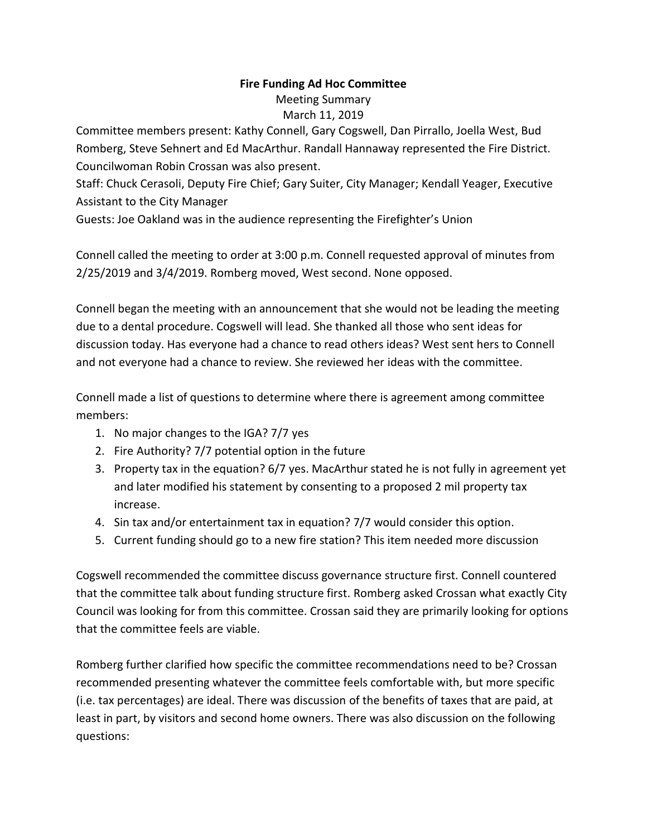## **Fire Funding Ad Hoc Committee**

Meeting Summary

### March 11, 2019

Committee members present: Kathy Connell, Gary Cogswell, Dan Pirrallo, Joella West, Bud Romberg, Steve Sehnert and Ed MacArthur. Randall Hannaway represented the Fire District. Councilwoman Robin Crossan was also present.

Staff: Chuck Cerasoli, Deputy Fire Chief; Gary Suiter, City Manager; Kendall Yeager, Executive Assistant to the City Manager

Guests: Joe Oakland was in the audience representing the Firefighter's Union

Connell called the meeting to order at 3:00 p.m. Connell requested approval of minutes from 2/25/2019 and 3/4/2019. Romberg moved, West second. None opposed.

Connell began the meeting with an announcement that she would not be leading the meeting due to a dental procedure. Cogswell will lead. She thanked all those who sent ideas for discussion today. Has everyone had a chance to read others ideas? West sent hers to Connell and not everyone had a chance to review. She reviewed her ideas with the committee.

Connell made a list of questions to determine where there is agreement among committee members:

- 1. No major changes to the IGA? 7/7 yes
- 2. Fire Authority? 7/7 potential option in the future
- 3. Property tax in the equation? 6/7 yes. MacArthur stated he is not fully in agreement yet and later modified his statement by consenting to a proposed 2 mil property tax increase.
- 4. Sin tax and/or entertainment tax in equation? 7/7 would consider this option.
- 5. Current funding should go to a new fire station? This item needed more discussion

Cogswell recommended the committee discuss governance structure first. Connell countered that the committee talk about funding structure first. Romberg asked Crossan what exactly City Council was looking for from this committee. Crossan said they are primarily looking for options that the committee feels are viable.

Romberg further clarified how specific the committee recommendations need to be? Crossan recommended presenting whatever the committee feels comfortable with, but more specific (i.e. tax percentages) are ideal. There was discussion of the benefits of taxes that are paid, at least in part, by visitors and second home owners. There was also discussion on the following questions: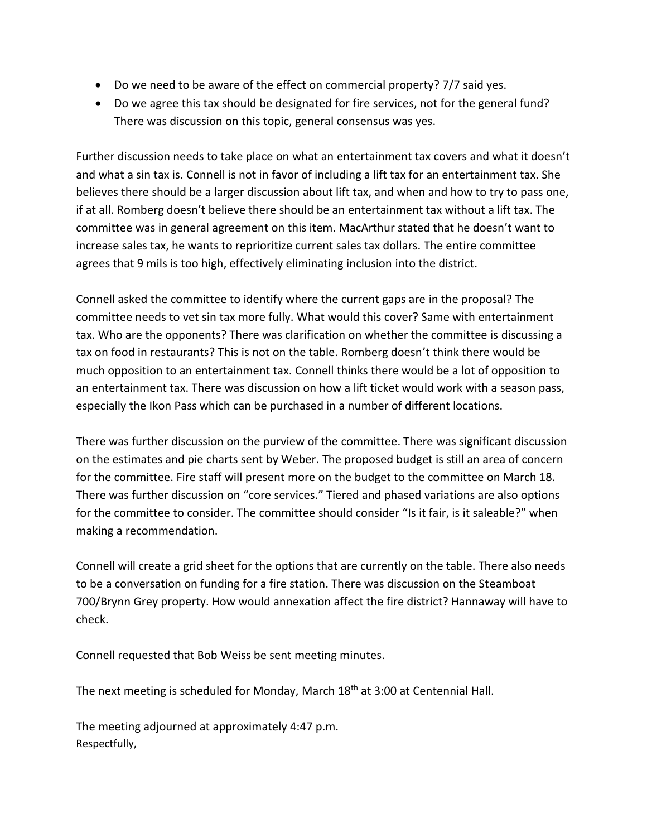- Do we need to be aware of the effect on commercial property? 7/7 said yes.
- Do we agree this tax should be designated for fire services, not for the general fund? There was discussion on this topic, general consensus was yes.

Further discussion needs to take place on what an entertainment tax covers and what it doesn't and what a sin tax is. Connell is not in favor of including a lift tax for an entertainment tax. She believes there should be a larger discussion about lift tax, and when and how to try to pass one, if at all. Romberg doesn't believe there should be an entertainment tax without a lift tax. The committee was in general agreement on this item. MacArthur stated that he doesn't want to increase sales tax, he wants to reprioritize current sales tax dollars. The entire committee agrees that 9 mils is too high, effectively eliminating inclusion into the district.

Connell asked the committee to identify where the current gaps are in the proposal? The committee needs to vet sin tax more fully. What would this cover? Same with entertainment tax. Who are the opponents? There was clarification on whether the committee is discussing a tax on food in restaurants? This is not on the table. Romberg doesn't think there would be much opposition to an entertainment tax. Connell thinks there would be a lot of opposition to an entertainment tax. There was discussion on how a lift ticket would work with a season pass, especially the Ikon Pass which can be purchased in a number of different locations.

There was further discussion on the purview of the committee. There was significant discussion on the estimates and pie charts sent by Weber. The proposed budget is still an area of concern for the committee. Fire staff will present more on the budget to the committee on March 18. There was further discussion on "core services." Tiered and phased variations are also options for the committee to consider. The committee should consider "Is it fair, is it saleable?" when making a recommendation.

Connell will create a grid sheet for the options that are currently on the table. There also needs to be a conversation on funding for a fire station. There was discussion on the Steamboat 700/Brynn Grey property. How would annexation affect the fire district? Hannaway will have to check.

Connell requested that Bob Weiss be sent meeting minutes.

The next meeting is scheduled for Monday, March 18<sup>th</sup> at 3:00 at Centennial Hall.

The meeting adjourned at approximately 4:47 p.m. Respectfully,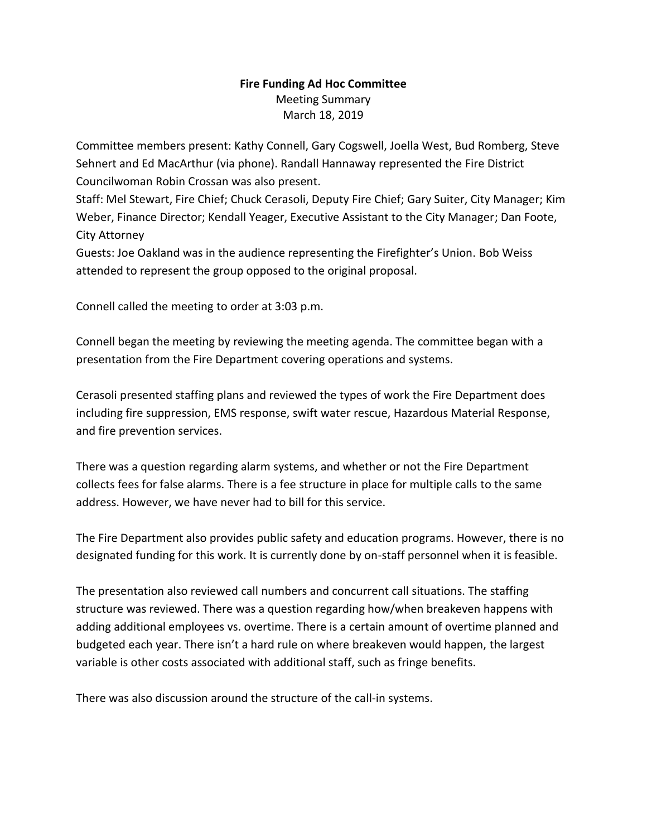#### **Fire Funding Ad Hoc Committee**  Meeting Summary March 18, 2019

Committee members present: Kathy Connell, Gary Cogswell, Joella West, Bud Romberg, Steve Sehnert and Ed MacArthur (via phone). Randall Hannaway represented the Fire District Councilwoman Robin Crossan was also present.

Staff: Mel Stewart, Fire Chief; Chuck Cerasoli, Deputy Fire Chief; Gary Suiter, City Manager; Kim Weber, Finance Director; Kendall Yeager, Executive Assistant to the City Manager; Dan Foote, City Attorney

Guests: Joe Oakland was in the audience representing the Firefighter's Union. Bob Weiss attended to represent the group opposed to the original proposal.

Connell called the meeting to order at 3:03 p.m.

Connell began the meeting by reviewing the meeting agenda. The committee began with a presentation from the Fire Department covering operations and systems.

Cerasoli presented staffing plans and reviewed the types of work the Fire Department does including fire suppression, EMS response, swift water rescue, Hazardous Material Response, and fire prevention services.

There was a question regarding alarm systems, and whether or not the Fire Department collects fees for false alarms. There is a fee structure in place for multiple calls to the same address. However, we have never had to bill for this service.

The Fire Department also provides public safety and education programs. However, there is no designated funding for this work. It is currently done by on-staff personnel when it is feasible.

The presentation also reviewed call numbers and concurrent call situations. The staffing structure was reviewed. There was a question regarding how/when breakeven happens with adding additional employees vs. overtime. There is a certain amount of overtime planned and budgeted each year. There isn't a hard rule on where breakeven would happen, the largest variable is other costs associated with additional staff, such as fringe benefits.

There was also discussion around the structure of the call-in systems.